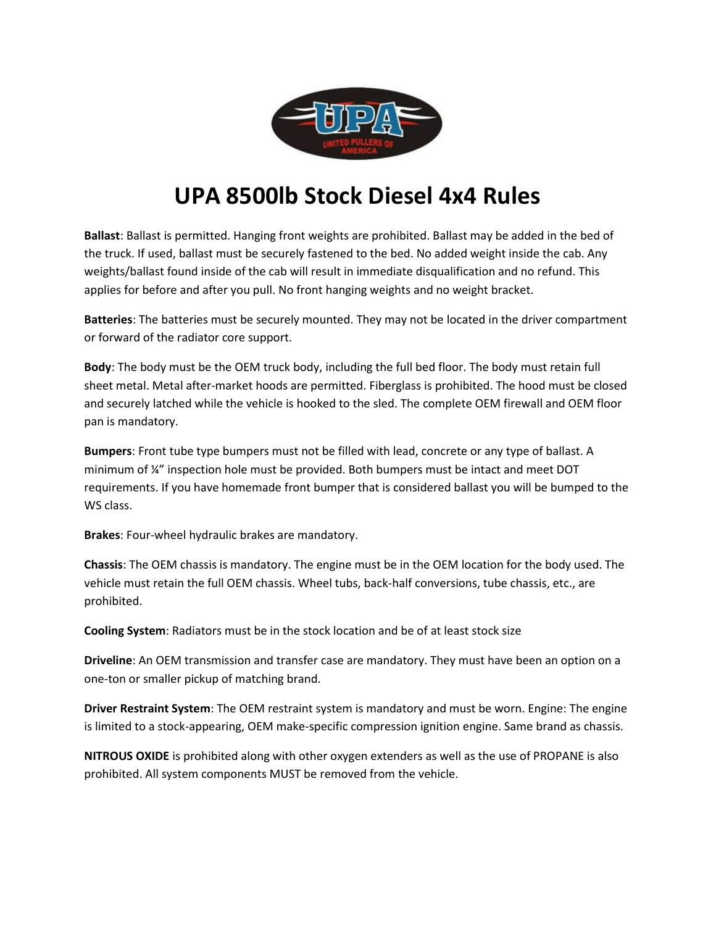

## **UPA 8500lb Stock Diesel 4x4 Rules**

**Ballast**: Ballast is permitted. Hanging front weights are prohibited. Ballast may be added in the bed of the truck. If used, ballast must be securely fastened to the bed. No added weight inside the cab. Any weights/ballast found inside of the cab will result in immediate disqualification and no refund. This applies for before and after you pull. No front hanging weights and no weight bracket.

**Batteries**: The batteries must be securely mounted. They may not be located in the driver compartment or forward of the radiator core support.

**Body**: The body must be the OEM truck body, including the full bed floor. The body must retain full sheet metal. Metal after-market hoods are permitted. Fiberglass is prohibited. The hood must be closed and securely latched while the vehicle is hooked to the sled. The complete OEM firewall and OEM floor pan is mandatory.

**Bumpers**: Front tube type bumpers must not be filled with lead, concrete or any type of ballast. A minimum of ¼" inspection hole must be provided. Both bumpers must be intact and meet DOT requirements. If you have homemade front bumper that is considered ballast you will be bumped to the WS class.

**Brakes**: Four-wheel hydraulic brakes are mandatory.

**Chassis**: The OEM chassis is mandatory. The engine must be in the OEM location for the body used. The vehicle must retain the full OEM chassis. Wheel tubs, back-half conversions, tube chassis, etc., are prohibited.

**Cooling System**: Radiators must be in the stock location and be of at least stock size

**Driveline**: An OEM transmission and transfer case are mandatory. They must have been an option on a one-ton or smaller pickup of matching brand.

**Driver Restraint System**: The OEM restraint system is mandatory and must be worn. Engine: The engine is limited to a stock-appearing, OEM make-specific compression ignition engine. Same brand as chassis.

**NITROUS OXIDE** is prohibited along with other oxygen extenders as well as the use of PROPANE is also prohibited. All system components MUST be removed from the vehicle.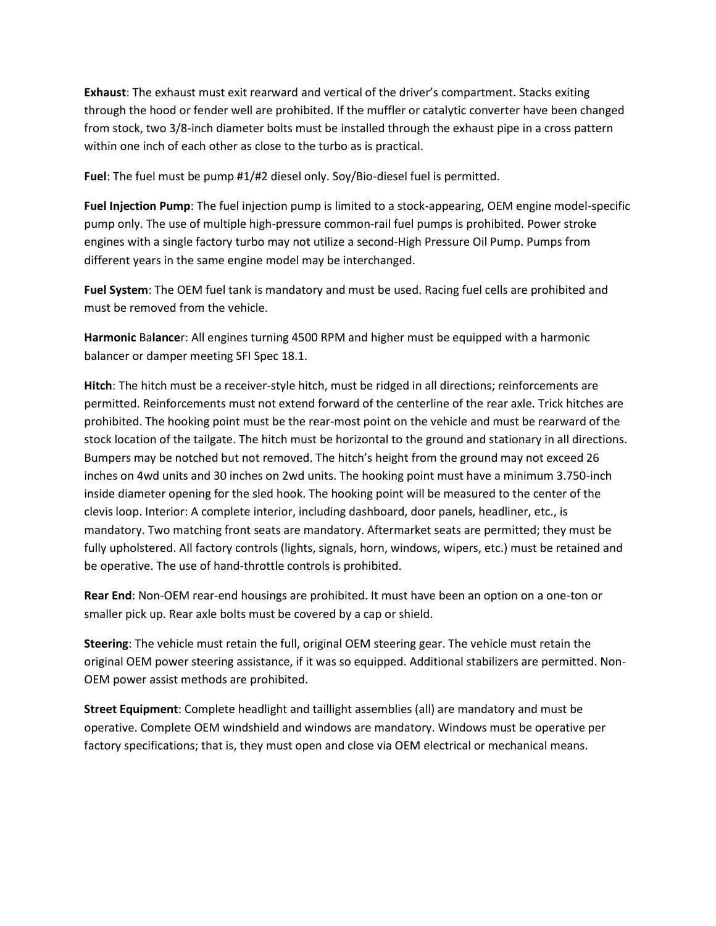**Exhaust**: The exhaust must exit rearward and vertical of the driver's compartment. Stacks exiting through the hood or fender well are prohibited. If the muffler or catalytic converter have been changed from stock, two 3/8-inch diameter bolts must be installed through the exhaust pipe in a cross pattern within one inch of each other as close to the turbo as is practical.

**Fuel**: The fuel must be pump #1/#2 diesel only. Soy/Bio-diesel fuel is permitted.

**Fuel Injection Pump**: The fuel injection pump is limited to a stock-appearing, OEM engine model-specific pump only. The use of multiple high-pressure common-rail fuel pumps is prohibited. Power stroke engines with a single factory turbo may not utilize a second-High Pressure Oil Pump. Pumps from different years in the same engine model may be interchanged.

**Fuel System**: The OEM fuel tank is mandatory and must be used. Racing fuel cells are prohibited and must be removed from the vehicle.

**Harmonic** Ba**lance**r: All engines turning 4500 RPM and higher must be equipped with a harmonic balancer or damper meeting SFI Spec 18.1.

**Hitch**: The hitch must be a receiver-style hitch, must be ridged in all directions; reinforcements are permitted. Reinforcements must not extend forward of the centerline of the rear axle. Trick hitches are prohibited. The hooking point must be the rear-most point on the vehicle and must be rearward of the stock location of the tailgate. The hitch must be horizontal to the ground and stationary in all directions. Bumpers may be notched but not removed. The hitch's height from the ground may not exceed 26 inches on 4wd units and 30 inches on 2wd units. The hooking point must have a minimum 3.750-inch inside diameter opening for the sled hook. The hooking point will be measured to the center of the clevis loop. Interior: A complete interior, including dashboard, door panels, headliner, etc., is mandatory. Two matching front seats are mandatory. Aftermarket seats are permitted; they must be fully upholstered. All factory controls (lights, signals, horn, windows, wipers, etc.) must be retained and be operative. The use of hand-throttle controls is prohibited.

**Rear End**: Non-OEM rear-end housings are prohibited. It must have been an option on a one-ton or smaller pick up. Rear axle bolts must be covered by a cap or shield.

**Steering**: The vehicle must retain the full, original OEM steering gear. The vehicle must retain the original OEM power steering assistance, if it was so equipped. Additional stabilizers are permitted. Non-OEM power assist methods are prohibited.

**Street Equipment**: Complete headlight and taillight assemblies (all) are mandatory and must be operative. Complete OEM windshield and windows are mandatory. Windows must be operative per factory specifications; that is, they must open and close via OEM electrical or mechanical means.